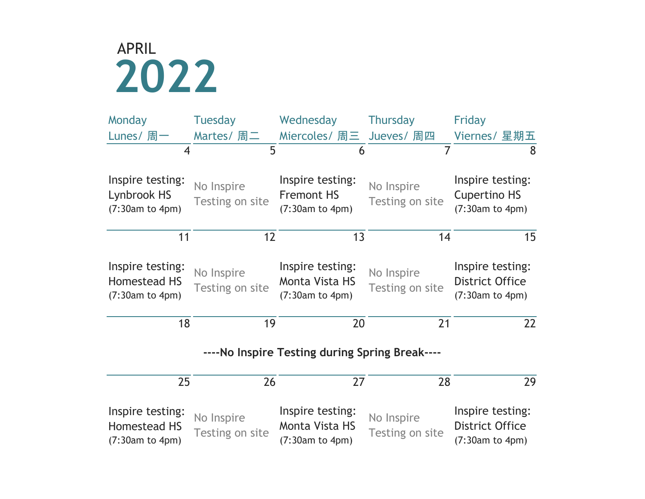

| Monday                                              | <b>Tuesday</b>                | Wednesday                                                    | <b>Thursday</b>               | Friday                                                        |  |  |  |  |
|-----------------------------------------------------|-------------------------------|--------------------------------------------------------------|-------------------------------|---------------------------------------------------------------|--|--|--|--|
| Lunes/ 周一                                           | Martes/ 周二                    | Miercoles/ 周三 Jueves/ 周四                                     |                               | Viernes/ 星期五                                                  |  |  |  |  |
| $\overline{4}$                                      | 5                             | 6                                                            | $\overline{7}$                | 8                                                             |  |  |  |  |
| Inspire testing:<br>Lynbrook HS<br>(7:30am to 4pm)  | No Inspire<br>Testing on site | Inspire testing:<br><b>Fremont HS</b><br>(7:30am to 4pm)     | No Inspire<br>Testing on site | Inspire testing:<br><b>Cupertino HS</b><br>(7:30am to 4pm)    |  |  |  |  |
| 11                                                  | 12                            | 13                                                           | 14                            | 15                                                            |  |  |  |  |
| Inspire testing:<br>Homestead HS<br>(7:30am to 4pm) | No Inspire<br>Testing on site | Inspire testing:<br><b>Monta Vista HS</b><br>(7:30am to 4pm) | No Inspire<br>Testing on site | Inspire testing:<br><b>District Office</b><br>(7:30am to 4pm) |  |  |  |  |
| 18                                                  | 19                            | 20                                                           | 21                            | 22                                                            |  |  |  |  |
| ----No Inspire Testing during Spring Break----      |                               |                                                              |                               |                                                               |  |  |  |  |
| 25                                                  | 26                            | 27                                                           | 28                            | 29                                                            |  |  |  |  |
| Inspire testing:<br>Homestead HS<br>(7:30am to 4pm) | No Inspire<br>Testing on site | Inspire testing:<br><b>Monta Vista HS</b><br>(7:30am to 4pm) | No Inspire<br>Testing on site | Inspire testing:<br><b>District Office</b><br>(7:30am to 4pm) |  |  |  |  |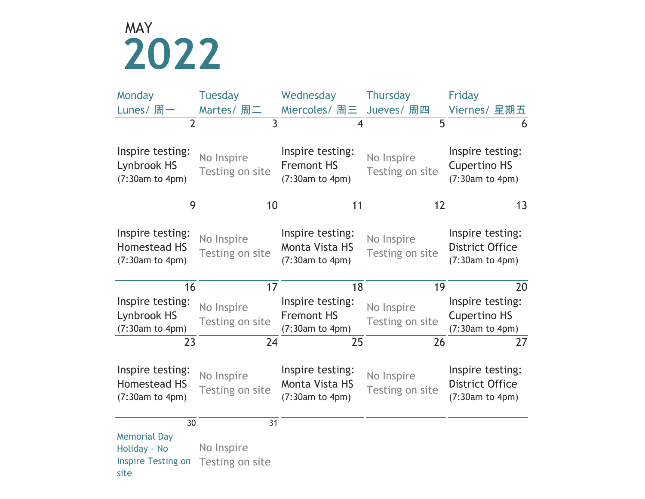## **2022** MAY

| Monday                                                           | <b>Tuesday</b>                | Wednesday                                                    | <b>Thursday</b>               | Friday                                                        |
|------------------------------------------------------------------|-------------------------------|--------------------------------------------------------------|-------------------------------|---------------------------------------------------------------|
| Lunes/ 周一                                                        | Martes/ 周二                    | Miercoles/ 周三                                                | Jueves/ 周四                    | Viernes/ 星期五                                                  |
| $\overline{2}$                                                   | $\overline{3}$                | $\overline{4}$                                               | 5                             | 6                                                             |
| Inspire testing:<br>Lynbrook HS<br>(7:30am to 4pm)               | No Inspire<br>Testing on site | Inspire testing:<br><b>Fremont HS</b><br>(7:30am to 4pm)     | No Inspire<br>Testing on site | Inspire testing:<br><b>Cupertino HS</b><br>(7:30am to 4pm)    |
| 9                                                                | 10                            | 11                                                           | 12                            | 13                                                            |
| Inspire testing:<br>Homestead HS<br>(7:30am to 4pm)              | No Inspire<br>Testing on site | Inspire testing:<br><b>Monta Vista HS</b><br>(7:30am to 4pm) | No Inspire<br>Testing on site | Inspire testing:<br><b>District Office</b><br>(7:30am to 4pm) |
| 16                                                               | 17                            | 18                                                           | 19                            | 20                                                            |
| Inspire testing:<br>Lynbrook HS<br>(7:30am to 4pm)               | No Inspire<br>Testing on site | Inspire testing:<br><b>Fremont HS</b><br>(7:30am to 4pm)     | No Inspire<br>Testing on site | Inspire testing:<br><b>Cupertino HS</b><br>(7:30am to 4pm)    |
| 23                                                               | 24                            | 25                                                           | 26                            | 27                                                            |
| Inspire testing:<br>Homestead HS<br>(7:30am to 4pm)              | No Inspire<br>Testing on site | Inspire testing:<br><b>Monta Vista HS</b><br>(7:30am to 4pm) | No Inspire<br>Testing on site | Inspire testing:<br><b>District Office</b><br>(7:30am to 4pm) |
| 30                                                               | 31                            |                                                              |                               |                                                               |
| <b>Memorial Day</b><br>Holiday - No<br><b>Inspire Testing on</b> | No Inspire<br>Testing on site |                                                              |                               |                                                               |